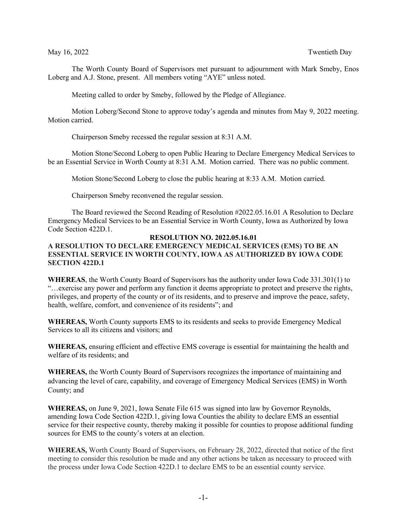The Worth County Board of Supervisors met pursuant to adjournment with Mark Smeby, Enos Loberg and A.J. Stone, present. All members voting "AYE" unless noted.

Meeting called to order by Smeby, followed by the Pledge of Allegiance.

Motion Loberg/Second Stone to approve today's agenda and minutes from May 9, 2022 meeting. Motion carried.

Chairperson Smeby recessed the regular session at 8:31 A.M.

Motion Stone/Second Loberg to open Public Hearing to Declare Emergency Medical Services to be an Essential Service in Worth County at 8:31 A.M. Motion carried. There was no public comment.

Motion Stone/Second Loberg to close the public hearing at 8:33 A.M. Motion carried.

Chairperson Smeby reconvened the regular session.

The Board reviewed the Second Reading of Resolution #2022.05.16.01 A Resolution to Declare Emergency Medical Services to be an Essential Service in Worth County, Iowa as Authorized by Iowa Code Section 422D.1.

## **RESOLUTION NO. 2022.05.16.01 A RESOLUTION TO DECLARE EMERGENCY MEDICAL SERVICES (EMS) TO BE AN ESSENTIAL SERVICE IN WORTH COUNTY, IOWA AS AUTHORIZED BY IOWA CODE SECTION 422D.1**

**WHEREAS**, the Worth County Board of Supervisors has the authority under Iowa Code 331.301(1) to "…exercise any power and perform any function it deems appropriate to protect and preserve the rights, privileges, and property of the county or of its residents, and to preserve and improve the peace, safety, health, welfare, comfort, and convenience of its residents"; and

**WHEREAS,** Worth County supports EMS to its residents and seeks to provide Emergency Medical Services to all its citizens and visitors; and

**WHEREAS,** ensuring efficient and effective EMS coverage is essential for maintaining the health and welfare of its residents; and

**WHEREAS,** the Worth County Board of Supervisors recognizes the importance of maintaining and advancing the level of care, capability, and coverage of Emergency Medical Services (EMS) in Worth County; and

**WHEREAS,** on June 9, 2021, Iowa Senate File 615 was signed into law by Governor Reynolds, amending Iowa Code Section 422D.1, giving Iowa Counties the ability to declare EMS an essential service for their respective county, thereby making it possible for counties to propose additional funding sources for EMS to the county's voters at an election.

**WHEREAS,** Worth County Board of Supervisors, on February 28, 2022, directed that notice of the first meeting to consider this resolution be made and any other actions be taken as necessary to proceed with the process under Iowa Code Section 422D.1 to declare EMS to be an essential county service.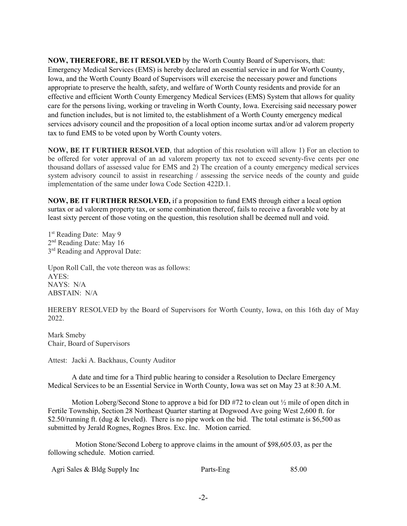**NOW, THEREFORE, BE IT RESOLVED** by the Worth County Board of Supervisors, that: Emergency Medical Services (EMS) is hereby declared an essential service in and for Worth County, Iowa, and the Worth County Board of Supervisors will exercise the necessary power and functions appropriate to preserve the health, safety, and welfare of Worth County residents and provide for an effective and efficient Worth County Emergency Medical Services (EMS) System that allows for quality care for the persons living, working or traveling in Worth County, Iowa. Exercising said necessary power and function includes, but is not limited to, the establishment of a Worth County emergency medical services advisory council and the proposition of a local option income surtax and/or ad valorem property tax to fund EMS to be voted upon by Worth County voters.

**NOW, BE IT FURTHER RESOLVED**, that adoption of this resolution will allow 1) For an election to be offered for voter approval of an ad valorem property tax not to exceed seventy-five cents per one thousand dollars of assessed value for EMS and 2) The creation of a county emergency medical services system advisory council to assist in researching / assessing the service needs of the county and guide implementation of the same under Iowa Code Section 422D.1.

**NOW, BE IT FURTHER RESOLVED,** if a proposition to fund EMS through either a local option surtax or ad valorem property tax, or some combination thereof, fails to receive a favorable vote by at least sixty percent of those voting on the question, this resolution shall be deemed null and void.

1<sup>st</sup> Reading Date: May 9 2nd Reading Date: May 16 3<sup>rd</sup> Reading and Approval Date:

Upon Roll Call, the vote thereon was as follows: AYES: NAYS: N/A ABSTAIN: N/A

HEREBY RESOLVED by the Board of Supervisors for Worth County, Iowa, on this 16th day of May 2022.

Mark Smeby Chair, Board of Supervisors

Attest: Jacki A. Backhaus, County Auditor

A date and time for a Third public hearing to consider a Resolution to Declare Emergency Medical Services to be an Essential Service in Worth County, Iowa was set on May 23 at 8:30 A.M.

Motion Loberg/Second Stone to approve a bid for DD  $#72$  to clean out  $\frac{1}{2}$  mile of open ditch in Fertile Township, Section 28 Northeast Quarter starting at Dogwood Ave going West 2,600 ft. for \$2.50/running ft. (dug & leveled). There is no pipe work on the bid. The total estimate is \$6,500 as submitted by Jerald Rognes, Rognes Bros. Exc. Inc. Motion carried.

 Motion Stone/Second Loberg to approve claims in the amount of \$98,605.03, as per the following schedule. Motion carried.

| Agri Sales & Bldg Supply Inc | Parts-Eng | 85.00 |
|------------------------------|-----------|-------|
|------------------------------|-----------|-------|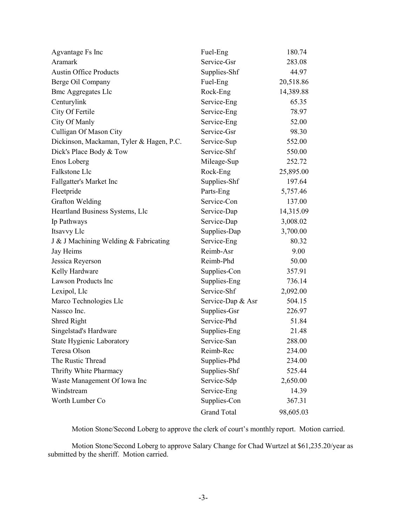| Agvantage Fs Inc                         | Fuel-Eng           | 180.74    |
|------------------------------------------|--------------------|-----------|
| Aramark                                  | Service-Gsr        | 283.08    |
| <b>Austin Office Products</b>            | Supplies-Shf       | 44.97     |
| Berge Oil Company                        | Fuel-Eng           | 20,518.86 |
| <b>Bmc Aggregates Llc</b>                | Rock-Eng           | 14,389.88 |
| Centurylink                              | Service-Eng        | 65.35     |
| City Of Fertile                          | Service-Eng        | 78.97     |
| City Of Manly                            | Service-Eng        | 52.00     |
| Culligan Of Mason City                   | Service-Gsr        | 98.30     |
| Dickinson, Mackaman, Tyler & Hagen, P.C. | Service-Sup        | 552.00    |
| Dick's Place Body & Tow                  | Service-Shf        | 550.00    |
| Enos Loberg                              | Mileage-Sup        | 252.72    |
| Falkstone Llc                            | Rock-Eng           | 25,895.00 |
| Fallgatter's Market Inc                  | Supplies-Shf       | 197.64    |
| Fleetpride                               | Parts-Eng          | 5,757.46  |
| <b>Grafton Welding</b>                   | Service-Con        | 137.00    |
| Heartland Business Systems, Llc          | Service-Dap        | 14,315.09 |
| Ip Pathways                              | Service-Dap        | 3,008.02  |
| Itsavvy Llc                              | Supplies-Dap       | 3,700.00  |
| J & J Machining Welding & Fabricating    | Service-Eng        | 80.32     |
| Jay Heims                                | Reimb-Asr          | 9.00      |
| Jessica Reyerson                         | Reimb-Phd          | 50.00     |
| Kelly Hardware                           | Supplies-Con       | 357.91    |
| <b>Lawson Products Inc</b>               | Supplies-Eng       | 736.14    |
| Lexipol, Llc                             | Service-Shf        | 2,092.00  |
| Marco Technologies Llc                   | Service-Dap & Asr  | 504.15    |
| Nassco Inc.                              | Supplies-Gsr       | 226.97    |
| Shred Right                              | Service-Phd        | 51.84     |
| Singelstad's Hardware                    | Supplies-Eng       | 21.48     |
| State Hygienic Laboratory                | Service-San        | 288.00    |
| Teresa Olson                             | Reimb-Rec          | 234.00    |
| The Rustic Thread                        | Supplies-Phd       | 234.00    |
| Thrifty White Pharmacy                   | Supplies-Shf       | 525.44    |
| Waste Management Of Iowa Inc             | Service-Sdp        | 2,650.00  |
| Windstream                               | Service-Eng        | 14.39     |
| Worth Lumber Co                          | Supplies-Con       | 367.31    |
|                                          | <b>Grand Total</b> | 98,605.03 |

Motion Stone/Second Loberg to approve the clerk of court's monthly report. Motion carried.

Motion Stone/Second Loberg to approve Salary Change for Chad Wurtzel at \$61,235.20/year as submitted by the sheriff. Motion carried.